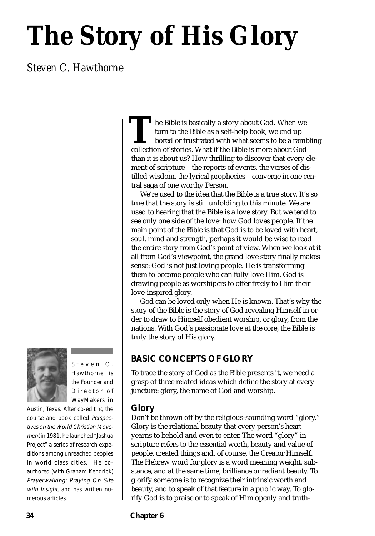# **The Story of His Glory**

# *Steven C. Hawthorne*

The Bible is basically a story about God. When we turn to the Bible as a self-help book, we end up bored or frustrated with what seems to be a raml collection of stories. What if the Bible is more about God turn to the Bible as a self-help book, we end up bored or frustrated with what seems to be a rambling than it is about us? How thrilling to discover that every element of scripture—the reports of events, the verses of distilled wisdom, the lyrical prophecies—converge in one central saga of one worthy Person.

We're used to the idea that the Bible is a true story. It's so true that the story is still unfolding to this minute. We are used to hearing that the Bible is a love story. But we tend to see only one side of the love: how God loves people. If the main point of the Bible is that God is to be loved with heart, soul, mind and strength, perhaps it would be wise to read the entire story from God's point of view. When we look at it all from God's viewpoint, the grand love story finally makes sense: God is not just loving people. He is transforming them to become people who can fully love Him. God is drawing people as worshipers to offer freely to Him their love-inspired glory.

God can be loved only when He is known. That's why the story of the Bible is the story of God revealing Himself in order to draw to Himself obedient worship, or glory, from the nations. With God's passionate love at the core, the Bible is truly the story of His glory.

# **BASIC CONCEPTS OF GLORY**

To trace the story of God as the Bible presents it, we need a grasp of three related ideas which define the story at every juncture: glory, the name of God and worship.

# **Glory**

Don't be thrown off by the religious-sounding word "glory." Glory is the relational beauty that every person's heart yearns to behold and even to enter. The word "glory" in scripture refers to the essential worth, beauty and value of people, created things and, of course, the Creator Himself. The Hebrew word for glory is a word meaning weight, substance, and at the same time, brilliance or radiant beauty. To glorify someone is to recognize their intrinsic worth and beauty, and to speak of that feature in a public way. To glorify God is to praise or to speak of Him openly and truth-

Steven C. Hawthorne is the Founder and Director of WayMakers in

Austin, Texas. After co-editing the course and book called Perspectives on the World Christian Movement in 1981, he launched "Joshua Project" a series of research expeditions among unreached peoples in world class cities. He coauthored (with Graham Kendrick) Prayerwalking: Praying On Site with Insight, and has written numerous articles.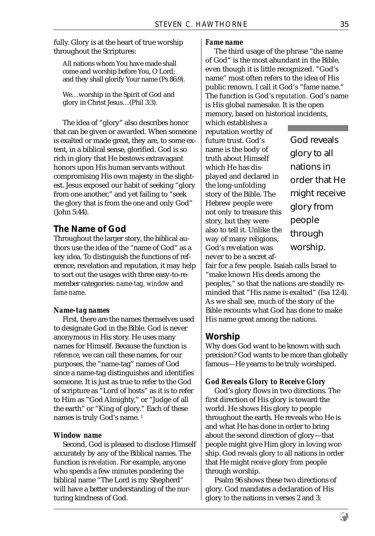fully. Glory is at the heart of true worship throughout the Scriptures:

All nations whom You have made shall come and worship before You, O Lord; and they shall glorify Your name (Ps 86:9).

We…worship in the Spirit of God and glory in Christ Jesus…(Phil 3:3).

The idea of "glory" also describes honor that can be given or awarded. When someone is exalted or made great, they are, to some extent, in a biblical sense, glorified. God is so rich in glory that He bestows extravagant honors upon His human servants without compromising His own majesty in the slightest. Jesus exposed our habit of seeking "glory from one another," and yet failing to "seek the glory that is from the one and only God" (John 5:44).

# **The Name of God**

Throughout the larger story, the biblical authors use the idea of the "name of God" as a key idea. To distinguish the functions of reference, revelation and reputation, it may help to sort out the usages with three easy-to-remember categories: *name-tag*, *window* and *fame name*.

#### *Name-tag names*

First, there are the names themselves used to designate God in the Bible. God is never anonymous in His story. He uses many names for Himself. Because the function is *reference*, we can call these names, for our purposes, the "name-tag" names of God since a name-tag distinguishes and identifies someone. It is just as true to refer to the God of scripture as "Lord of hosts" as it is to refer to Him as "God Almighty," or "Judge of all the earth" or "King of glory." Each of these names is truly God's name.<sup>1</sup>

#### *Window name*

Second, God is pleased to disclose Himself accurately by any of the Biblical names. The function is *revelation*. For example, anyone who spends a few minutes pondering the biblical name "The Lord is my Shepherd" will have a better understanding of the nurturing kindness of God.

#### *Fame name*

The third usage of the phrase "the name of God" is the most abundant in the Bible, even though it is little recognized. "God's name" most often refers to the idea of His public renown. I call it God's "fame name." The function is God's *reputation*. God's name is His global namesake. It is the open memory, based on historical incidents,

which establishes a reputation worthy of future trust. God's name is the body of truth about Himself which He has displayed and declared in the long-unfolding story of the Bible. The Hebrew people were not only to treasure this story, but they were also to tell it. Unlike the way of many religions, God's revelation was never to be a secret af-

God *reveals* glory *to* all nations in order that He might *receive* glory *from* people through worship.

fair for a few people. Isaiah calls Israel to "make known His deeds among the peoples," so that the nations are steadily reminded that "His name is exalted" (Isa 12:4). As we shall see, much of the story of the Bible recounts what God has done to make His name great among the nations.

#### **Worship**

Why does God want to be known with such precision? God wants to be more than globally famous—He yearns to be truly worshiped.

#### *God Reveals Glory to Receive Glory*

God's glory flows in two directions. The first direction of His glory is toward the world. He shows His glory to people throughout the earth. He reveals who He is and what He has done in order to bring about the second direction of glory—that people might give Him glory in loving worship. God *reveals* glory *to* all nations in order that He might *receive* glory *from* people through worship.

Psalm 96 shows these two directions of glory. God mandates a declaration of His glory *to* the nations in verses 2 and 3: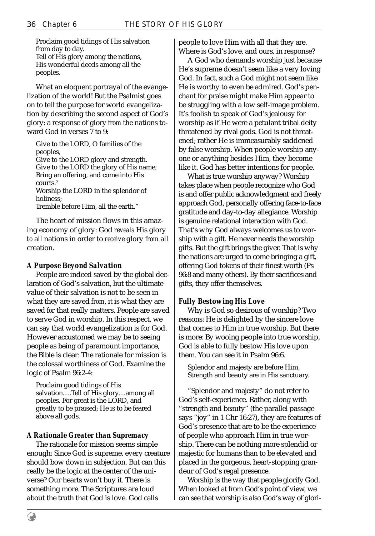Proclaim good tidings of His salvation from day to day. Tell of His glory among the nations, His wonderful deeds among all the peoples.

What an eloquent portrayal of the evangelization of the world! But the Psalmist goes on to tell the purpose for world evangelization by describing the second aspect of God's glory: a response of glory *from* the nations toward God in verses 7 to 9:

Give to the LORD, O families of the peoples, Give to the LORD glory and strength. Give to the LORD the glory of His name; Bring an offering, and come into His courts.2 Worship the LORD in the splendor of holiness;

Tremble before Him, all the earth."

The heart of mission flows in this amazing economy of glory: God *reveals* His glory *to* all nations in order to *receive* glory *from* all creation.

#### *A Purpose Beyond Salvation*

People are indeed saved by the global declaration of God's salvation, but the ultimate value of their salvation is not to be seen in what they are saved *from*, it is what they are saved *for* that really matters. People are saved to serve God in worship. In this respect, we can say that world evangelization is for God. However accustomed we may be to seeing people as being of paramount importance, the Bible is clear: The rationale for mission is the colossal worthiness of God. Examine the logic of Psalm 96:2-4:

Proclaim good tidings of His salvation….Tell of His glory…among all peoples. For great is the LORD, and greatly to be praised; He is to be feared above all gods.

#### *A Rationale Greater than Supremacy*

The rationale for mission seems simple enough: Since God is supreme, every creature should bow down in subjection. But can this really be the logic at the center of the universe? Our hearts won't buy it. There is something more. The Scriptures are loud about the truth that God is love. God calls

people to love Him with all that they are. Where is God's love, and ours, in response?

A God who demands worship just because He's supreme doesn't seem like a very loving God. In fact, such a God might not seem like He is worthy to even be admired. God's penchant for praise might make Him appear to be struggling with a low self-image problem. It's foolish to speak of God's jealousy for worship as if He were a petulant tribal deity threatened by rival gods. God is not threatened; rather He is immeasurably saddened by false worship. When people worship anyone or anything besides Him, they become like it. God has better intentions for people.

What is true worship anyway? Worship takes place when people recognize who God is and offer public acknowledgment and freely approach God, personally offering face-to-face gratitude and day-to-day allegiance. Worship is genuine relational interaction with God. That's why God always welcomes us to worship with a gift. He never needs the worship gifts. But the gift brings the giver. That is why the nations are urged to come bringing a gift, offering God tokens of their finest worth (Ps 96:8 and many others). By their sacrifices and gifts, they offer themselves.

#### *Fully Bestowing His Love*

Why is God so desirous of worship? Two reasons: He is delighted by the sincere love that comes to Him in true worship. But there is more: By wooing people into true worship, God is able to fully bestow His love upon them. You can see it in Psalm 96:6.

Splendor and majesty are before Him, Strength and beauty are in His sanctuary.

"Splendor and majesty" do not refer to God's self-experience. Rather, along with "strength and beauty" (the parallel passage says "joy" in 1 Chr 16:27), they are features of God's presence that are to be the experience of people who approach Him in true worship. There can be nothing more splendid or majestic for humans than to be elevated and placed in the gorgeous, heart-stopping grandeur of God's regal presence.

Worship is the way that people glorify God. When looked at from God's point of view, we can see that worship is also God's way of glori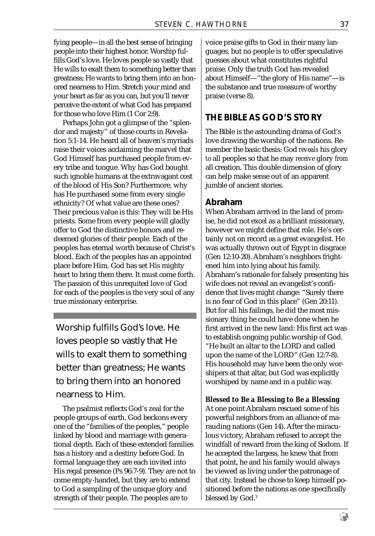fying people—in all the best sense of bringing people into their highest honor. Worship fulfills God's love. He loves people so vastly that He wills to exalt them to something better than greatness; He wants to bring them into an honored nearness to Him. Stretch your mind and your heart as far as you can, but you'll never perceive the extent of what God has prepared for those who love Him (1 Cor 2:9).

Perhaps John got a glimpse of the "splendor and majesty" of those courts in Revelation 5:1-14. He heard all of heaven's myriads raise their voices acclaiming the marvel that God Himself has purchased people from every tribe and tongue. Why has God bought such ignoble humans at the extravagant cost of the blood of His Son? Furthermore, why has He purchased some from every single ethnicity? Of what value are these ones? Their precious value is this: They will be His priests. Some from every people will gladly offer to God the distinctive honors and redeemed glories of their people. Each of the peoples has eternal worth because of Christ's blood. Each of the peoples has an appointed place before Him. God has set His mighty heart to bring them there. It must come forth. The passion of this unrequited love of God for each of the peoples is the very soul of any true missionary enterprise.

Worship fulfills God's love. He loves people so vastly that He wills to exalt them to something better than greatness; He wants to bring them into an honored nearness to Him.

The psalmist reflects God's zeal for the people groups of earth. God beckons every one of the "families of the peoples," people linked by blood and marriage with generational depth. Each of these extended families has a history and a destiny before God. In formal language they are each invited into His regal presence (Ps 96:7-9). They are not to come empty-handed, but they are to extend to God a sampling of the unique glory and strength of their people. The peoples are to

voice praise gifts to God in their many languages, but no people is to offer speculative guesses about what constitutes rightful praise. Only the truth God has revealed about Himself—"the glory of His name"—is the substance and true measure of worthy praise (verse 8).

# **THE BIBLE AS GOD'S STORY**

The Bible is the astounding drama of God's love drawing the worship of the nations. Remember the basic thesis: God *reveals* his glory *to* all peoples so that he may *receive* glory *from* all creation. This double dimension of glory can help make sense out of an apparent jumble of ancient stories.

#### **Abraham**

When Abraham arrived in the land of promise, he did not excel as a brilliant missionary, however we might define that role. He's certainly not on record as a great evangelist. He was actually thrown out of Egypt in disgrace (Gen 12:10-20). Abraham's neighbors frightened him into lying about his family. Abraham's rationale for falsely presenting his wife does not reveal an evangelist's confidence that lives might change: "Surely there is no fear of God in this place" (Gen 20:11). But for all his failings, he did the most missionary thing he could have done when he first arrived in the new land: His first act was to establish ongoing public worship of God. "He built an altar to the LORD and called upon the name of the LORD" (Gen 12:7-8). His household may have been the only worshipers at that altar, but God was explicitly worshiped by name and in a public way.

#### *Blessed to Be a Blessing to Be a Blessing*

At one point Abraham rescued some of his powerful neighbors from an alliance of marauding nations (Gen 14). After the miraculous victory, Abraham refused to accept the windfall of reward from the king of Sodom. If he accepted the largess, he knew that from that point, he and his family would always be viewed as living under the patronage of that city. Instead he chose to keep himself positioned before the nations as one specifically blessed by God.<sup>3</sup>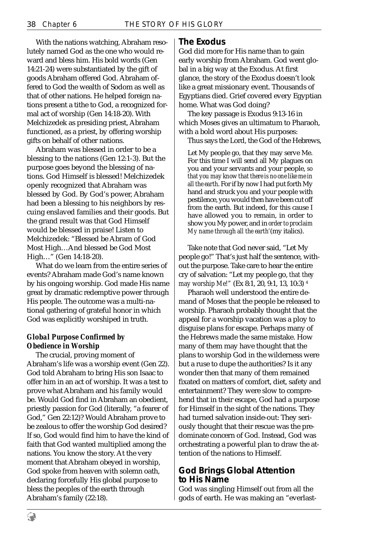With the nations watching, Abraham resolutely named God as the one who would reward and bless him. His bold words (Gen 14:21-24) were substantiated by the gift of goods Abraham offered God. Abraham offered to God the wealth of Sodom as well as that of other nations. He helped foreign nations present a tithe to God, a recognized formal act of worship (Gen 14:18-20). With Melchizedek as presiding priest, Abraham functioned, as a priest, by offering worship gifts on behalf of other nations.

Abraham was blessed in order to be a blessing to the nations (Gen 12:1-3). But the purpose goes beyond the blessing of nations. God Himself is blessed! Melchizedek openly recognized that Abraham was blessed by God. By God's power, Abraham had been a blessing to his neighbors by rescuing enslaved families and their goods. But the grand result was that God Himself would be blessed in praise! Listen to Melchizedek: "Blessed be Abram of God Most High…And blessed be God Most High…" (Gen 14:18-20).

What do we learn from the entire series of events? Abraham made God's name known by his ongoing worship. God made His name great by dramatic redemptive power through His people. The outcome was a multi-national gathering of grateful honor in which God was explicitly worshiped in truth.

#### *Global Purpose Confirmed by Obedience in Worship*

The crucial, proving moment of Abraham's life was a worship event (Gen 22). God told Abraham to bring His son Isaac to offer him in an act of worship. It was a test to prove what Abraham and his family would be. Would God find in Abraham an obedient, priestly passion for God (literally, "a fearer of God," Gen 22:12)? Would Abraham prove to be zealous to offer the worship God desired? If so, God would find him to have the kind of faith that God wanted multiplied among the nations. You know the story. At the very moment that Abraham obeyed in worship, God spoke from heaven with solemn oath, declaring forcefully His global purpose to bless the peoples of the earth through Abraham's family (22:18).

#### **The Exodus**

God did more for His name than to gain early worship from Abraham. God went global in a big way at the Exodus. At first glance, the story of the Exodus doesn't look like a great missionary event. Thousands of Egyptians died. Grief covered every Egyptian home. What was God doing?

The key passage is Exodus 9:13-16 in which Moses gives an ultimatum to Pharaoh, with a bold word about His purposes: Thus says the Lord, the God of the Hebrews,

Let My people go, that they may serve Me. For this time I will send all My plagues on you and your servants and your people, *so that you may know that there is no one like me in all the earth*. For if by now I had put forth My hand and struck you and your people with pestilence, you would then have been cut off from the earth. But indeed, for this cause I have allowed you to remain, in order to show you My power, and in *order to proclaim My name through all the earth'*(my italics).

Take note that God never said, "Let My people go!" That's just half the sentence, without the purpose. Take care to hear the entire cry of salvation: "Let my people go, *that they may worship Me!"* (Ex 8:1, 20, 9:1, 13, 10:3) 4

Pharaoh well understood the entire demand of Moses that the people be released to worship. Pharaoh probably thought that the appeal for a worship vacation was a ploy to disguise plans for escape. Perhaps many of the Hebrews made the same mistake. How many of them may have thought that the plans to worship God in the wilderness were but a ruse to dupe the authorities? Is it any wonder then that many of them remained fixated on matters of comfort, diet, safety and entertainment? They were slow to comprehend that in their escape, God had a purpose for Himself in the sight of the nations. They had turned salvation inside-out: They seriously thought that their rescue was the predominate concern of God. Instead, God was orchestrating a powerful plan to draw the attention of the nations to Himself.

# **God Brings Global Attention to His Name**

God was singling Himself out from all the gods of earth. He was making an "everlast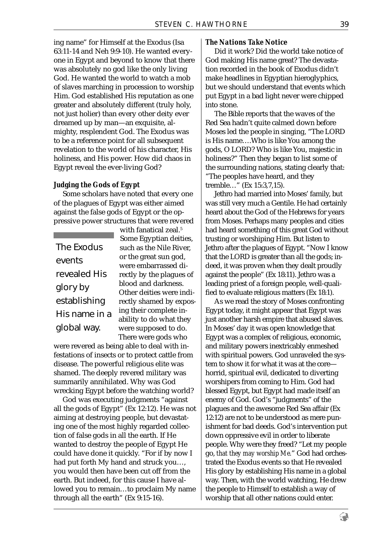ing name" for Himself at the Exodus (Isa 63:11-14 and Neh 9:9-10). He wanted everyone in Egypt and beyond to know that there was absolutely no god like the only living God. He wanted the world to watch a mob of slaves marching in procession to worship Him. God established His reputation as one greater and absolutely different (truly holy, not just holier) than every other deity ever dreamed up by man—an exquisite, almighty, resplendent God. The Exodus was to be a reference point for all subsequent revelation to the world of his character, His holiness, and His power. How did chaos in Egypt reveal the ever-living God?

#### *Judging the Gods of Egypt*

Some scholars have noted that every one of the plagues of Egypt was either aimed against the false gods of Egypt or the oppressive power structures that were revered

The Exodus events revealed His glory by establishing His name in a global way.

with fanatical zeal.<sup>5</sup> Some Egyptian deities, such as the Nile River, or the great sun god, were embarrassed directly by the plagues of blood and darkness. Other deities were indirectly shamed by exposing their complete inability to do what they were supposed to do. There were gods who

were revered as being able to deal with infestations of insects or to protect cattle from disease. The powerful religious elite was shamed. The deeply revered military was summarily annihilated. Why was God wrecking Egypt before the watching world?

God was executing judgments "against all the gods of Egypt" (Ex 12:12). He was not aiming at destroying people, but devastating one of the most highly regarded collection of false gods in all the earth. If He wanted to destroy the people of Egypt He could have done it quickly. "For if by now I had put forth My hand and struck you…, you would then have been cut off from the earth. But indeed, for this cause I have allowed you to remain…to proclaim My name through all the earth" (Ex 9:15-16).

#### *The Nations Take Notice*

Did it work? Did the world take notice of God making His name great? The devastation recorded in the book of Exodus didn't make headlines in Egyptian hieroglyphics, but we should understand that events which put Egypt in a bad light never were chipped into stone.

The Bible reports that the waves of the Red Sea hadn't quite calmed down before Moses led the people in singing, "The LORD is His name….Who is like You among the gods, O LORD? Who is like You, majestic in holiness?" Then they began to list some of the surrounding nations, stating clearly that: "The peoples have heard, and they tremble…" (Ex 15:3,7,15).

Jethro had married into Moses' family, but was still very much a Gentile. He had certainly heard about the God of the Hebrews for years from Moses. Perhaps many peoples and cities had heard something of this great God without trusting or worshiping Him. But listen to Jethro after the plagues of Egypt. "Now I know that the LORD is greater than all the gods; indeed, it was proven when they dealt proudly against the people" (Ex 18:11). Jethro was a leading priest of a foreign people, well-qualified to evaluate religious matters (Ex 18:1).

As we read the story of Moses confronting Egypt today, it might appear that Egypt was just another harsh empire that abused slaves. In Moses' day it was open knowledge that Egypt was a complex of religious, economic, and military powers inextricably enmeshed with spiritual powers. God unraveled the system to show it for what it was at the core horrid, spiritual evil, dedicated to diverting worshipers from coming to Him. God had blessed Egypt, but Egypt had made itself an enemy of God. God's "judgments" of the plagues and the awesome Red Sea affair (Ex 12:12) are not to be understood as mere punishment for bad deeds. God's intervention put down oppressive evil in order to liberate people. Why were they freed? "Let my people go, *that they may worship Me.*" God had orchestrated the Exodus events so that He revealed His glory by establishing His name in a global way. Then, with the world watching, He drew the people to Himself to establish a way of worship that all other nations could enter.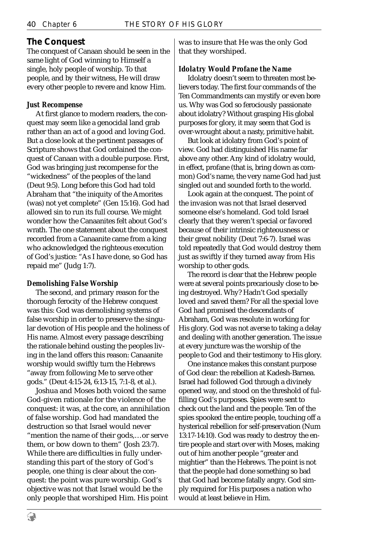#### **The Conquest**

The conquest of Canaan should be seen in the same light of God winning to Himself a single, holy people of worship. To that people, and by their witness, He will draw every other people to revere and know Him.

#### *Just Recompense*

At first glance to modern readers, the conquest may seem like a genocidal land grab rather than an act of a good and loving God. But a close look at the pertinent passages of Scripture shows that God ordained the conquest of Canaan with a double purpose. First, God was bringing just recompense for the "wickedness" of the peoples of the land (Deut 9:5). Long before this God had told Abraham that "the iniquity of the Amorites (was) not yet complete" (Gen 15:16). God had allowed sin to run its full course. We might wonder how the Canaanites felt about God's wrath. The one statement about the conquest recorded from a Canaanite came from a king who acknowledged the righteous execution of God's justice: "As I have done, so God has repaid me" (Judg 1:7).

#### *Demolishing False Worship*

The second, and primary reason for the thorough ferocity of the Hebrew conquest was this: God was demolishing systems of false worship in order to preserve the singular devotion of His people and the holiness of His name. Almost every passage describing the rationale behind ousting the peoples living in the land offers this reason: Canaanite worship would swiftly turn the Hebrews "away from following Me to serve other gods." (Deut 4:15-24, 6:13-15, 7:1-8, et al.).

Joshua and Moses both voiced the same God-given rationale for the violence of the conquest: it was, at the core, an annihilation of false worship. God had mandated the destruction so that Israel would never "mention the name of their gods,…or serve them, or bow down to them" (Josh 23:7). While there are difficulties in fully understanding this part of the story of God's people, one thing is clear about the conquest: the point was pure worship. God's objective was not that Israel would be the only people that worshiped Him. His point

was to insure that He was the only God that they worshiped.

#### *Idolatry Would Profane the Name*

Idolatry doesn't seem to threaten most believers today. The first four commands of the Ten Commandments can mystify or even bore us. Why was God so ferociously passionate about idolatry? Without grasping His global purposes for glory, it may seem that God is over-wrought about a nasty, primitive habit.

But look at idolatry from God's point of view. God had distinguished His name far above any other. Any kind of idolatry would, in effect, profane (that is, bring down as common) God's name, the very name God had just singled out and sounded forth to the world.

Look again at the conquest. The point of the invasion was not that Israel deserved someone else's homeland. God told Israel clearly that they weren't special or favored because of their intrinsic righteousness or their great nobility (Deut 7:6-7). Israel was told repeatedly that God would destroy them just as swiftly if they turned away from His worship to other gods.

The record is clear that the Hebrew people were at several points precariously close to being destroyed. Why? Hadn't God specially loved and saved them? For all the special love God had promised the descendants of Abraham, God was resolute in working for His glory. God was not averse to taking a delay and dealing with another generation. The issue at every juncture was the worship of the people to God and their testimony to His glory.

One instance makes this constant purpose of God clear: the rebellion at Kadesh-Barnea. Israel had followed God through a divinely opened way, and stood on the threshold of fulfilling God's purposes. Spies were sent to check out the land and the people. Ten of the spies spooked the entire people, touching off a hysterical rebellion for self-preservation (Num 13:17-14:10). God was ready to destroy the entire people and start over with Moses, making out of him another people "greater and mightier" than the Hebrews. The point is not that the people had done something so bad that God had become fatally angry. God simply required for His purposes a nation who would at least believe in Him.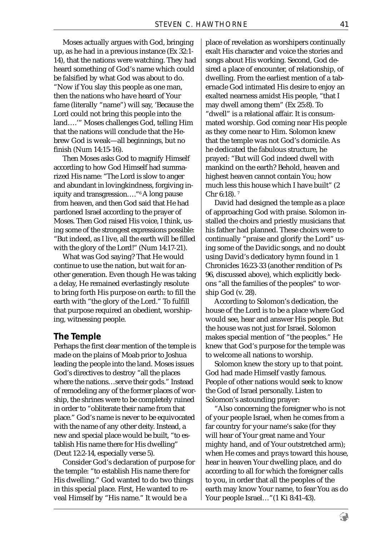Moses actually argues with God, bringing up, as he had in a previous instance (Ex 32:1- 14), that the nations were watching. They had heard something of God's name which could be falsified by what God was about to do. "Now if You slay this people as one man, then the nations who have heard of Your fame (literally "name") will say, 'Because the Lord could not bring this people into the land….'" Moses challenges God, telling Him that the nations will conclude that the Hebrew God is weak—all beginnings, but no finish (Num 14:15-16).

Then Moses asks God to magnify Himself according to how God Himself had summarized His name: "The Lord is slow to anger and abundant in lovingkindness, forgiving iniquity and transgression…."6 A long pause from heaven, and then God said that He had pardoned Israel according to the prayer of Moses. Then God raised His voice, I think, using some of the strongest expressions possible: "But indeed, as I live, all the earth will be filled with the glory of the Lord!" (Num 14:17-21).

What was God saying? That He would continue to use the nation, but wait for another generation. Even though He was taking a delay, He remained everlastingly resolute to bring forth His purpose on earth: to fill the earth with "the glory of the Lord." To fulfill that purpose required an obedient, worshiping, witnessing people.

#### **The Temple**

Perhaps the first clear mention of the temple is made on the plains of Moab prior to Joshua leading the people into the land. Moses issues God's directives to destroy "all the places where the nations…serve their gods." Instead of remodeling any of the former places of worship, the shrines were to be completely ruined in order to "obliterate their name from that place." God's name is never to be equivocated with the name of any other deity. Instead, a new and special place would be built, "to establish His name there for His dwelling" (Deut 12:2-14, especially verse 5).

Consider God's declaration of purpose for the temple: "to establish His name there for His dwelling." God wanted to do two things in this special place. First, He wanted to reveal Himself by "His name." It would be a

place of revelation as worshipers continually exalt His character and voice the stories and songs about His working. Second, God desired a place of encounter, of relationship, of dwelling. From the earliest mention of a tabernacle God intimated His desire to enjoy an exalted nearness amidst His people, "that I may dwell among them" (Ex 25:8). To "dwell" is a relational affair. It is consummated worship. God coming near His people as they come near to Him. Solomon knew that the temple was not God's domicile. As he dedicated the fabulous structure, he prayed: "But will God indeed dwell with mankind on the earth? Behold, heaven and highest heaven cannot contain You; how much less this house which I have built" (2 Chr 6:18). 7

David had designed the temple as a place of approaching God with praise. Solomon installed the choirs and priestly musicians that his father had planned. These choirs were to continually "praise and glorify the Lord" using some of the Davidic songs, and no doubt using David's dedicatory hymn found in 1 Chronicles 16:23-33 (another rendition of Ps 96, discussed above), which explicitly beckons "all the families of the peoples" to worship God (v. 28).

According to Solomon's dedication, the house of the Lord is to be a place where God would see, hear and answer His people. But the house was not just for Israel. Solomon makes special mention of "the peoples." He knew that God's purpose for the temple was to welcome all nations to worship.

Solomon knew the story up to that point. God had made Himself vastly famous. People of other nations would seek to know the God of Israel personally. Listen to Solomon's astounding prayer:

"Also concerning the foreigner who is not of your people Israel, when he comes from a far country for your name's sake (for they will hear of Your great name and Your mighty hand, and of Your outstretched arm); when He comes and prays toward this house, hear in heaven Your dwelling place, and do according to all for which the foreigner calls to you, in order that all the peoples of the earth may know Your name, to fear You as do Your people Israel…"(1 Ki 8:41-43).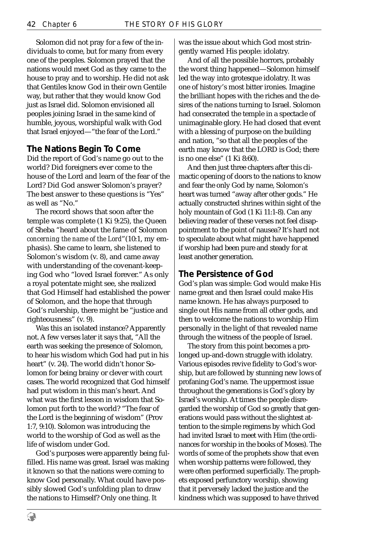Solomon did not pray for a few of the individuals to come, but for many from every one of the peoples. Solomon prayed that the nations would meet God as they came to the house to pray and to worship. He did not ask that Gentiles know God in their own Gentile way, but rather that they would know God just as Israel did. Solomon envisioned all peoples joining Israel in the same kind of humble, joyous, worshipful walk with God that Israel enjoyed—"the fear of the Lord."

#### **The Nations Begin To Come**

Did the report of God's name go out to the world? Did foreigners ever come to the house of the Lord and learn of the fear of the Lord? Did God answer Solomon's prayer? The best answer to these questions is "Yes" as well as "No."

The record shows that soon after the temple was complete (1 Ki 9:25), the Queen of Sheba "heard about the fame of Solomon *concerning the name of the Lord*"(10:1, my emphasis). She came to learn, she listened to Solomon's wisdom (v. 8), and came away with understanding of the covenant-keeping God who "loved Israel forever." As only a royal potentate might see, she realized that God Himself had established the power of Solomon, and the hope that through God's rulership, there might be "justice and righteousness" (v. 9).

Was this an isolated instance? Apparently not. A few verses later it says that, "All the earth was seeking the presence of Solomon, to hear his wisdom which God had put in his heart" (v. 24). The world didn't honor Solomon for being brainy or clever with court cases. The world recognized that God himself had put wisdom in this man's heart. And what was the first lesson in wisdom that Solomon put forth to the world? "The fear of the Lord is the beginning of wisdom" (Prov 1:7, 9:10). Solomon was introducing the world to the worship of God as well as the life of wisdom under God.

God's purposes were apparently being fulfilled. His name was great. Israel was making it known so that the nations were coming to know God personally. What could have possibly slowed God's unfolding plan to draw the nations to Himself? Only one thing. It

was the issue about which God most stringently warned His people: idolatry.

And of all the possible horrors, probably the worst thing happened—Solomon himself led the way into grotesque idolatry. It was one of history's most bitter ironies. Imagine the brilliant hopes with the riches and the desires of the nations turning to Israel. Solomon had consecrated the temple in a spectacle of unimaginable glory. He had closed that event with a blessing of purpose on the building and nation, "so that all the peoples of the earth may know that the LORD is God; there is no one else" (1 Ki 8:60).

And then just three chapters after this climactic opening of doors to the nations to know and fear the only God by name, Solomon's heart was turned "away after other gods." He actually constructed shrines within sight of the holy mountain of God (1 Ki 11:1-8). Can any believing reader of these verses not feel disappointment to the point of nausea? It's hard not to speculate about what might have happened if worship had been pure and steady for at least another generation.

#### **The Persistence of God**

God's plan was simple: God would make His name great and then Israel could make His name known. He has always purposed to single out His name from all other gods, and then to welcome the nations to worship Him personally in the light of that revealed name through the witness of the people of Israel.

The story from this point becomes a prolonged up-and-down struggle with idolatry. Various episodes revive fidelity to God's worship, but are followed by stunning new lows of profaning God's name. The uppermost issue throughout the generations is God's glory by Israel's worship. At times the people disregarded the worship of God so greatly that generations would pass without the slightest attention to the simple regimens by which God had invited Israel to meet with Him (the ordinances for worship in the books of Moses). The words of some of the prophets show that even when worship patterns were followed, they were often performed superficially. The prophets exposed perfunctory worship, showing that it perversely lacked the justice and the kindness which was supposed to have thrived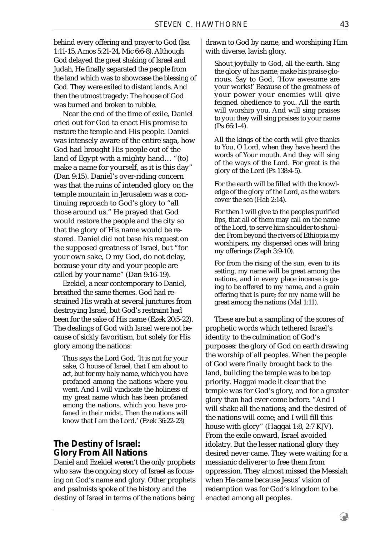behind every offering and prayer to God (Isa 1:11-15, Amos 5:21-24, Mic 6:6-8). Although God delayed the great shaking of Israel and Judah, He finally separated the people from the land which was to showcase the blessing of God. They were exiled to distant lands. And then the utmost tragedy: The house of God was burned and broken to rubble.

Near the end of the time of exile, Daniel cried out for God to enact His promise to restore the temple and His people. Daniel was intensely aware of the entire saga, how God had brought His people out of the land of Egypt with a mighty hand… "(to) make a name for yourself, as it is this day" (Dan 9:15). Daniel's over-riding concern was that the ruins of intended glory on the temple mountain in Jerusalem was a continuing reproach to God's glory to "all those around us." He prayed that God would restore the people and the city so that the glory of His name would be restored. Daniel did not base his request on the supposed greatness of Israel, but "for your own sake, O my God, do not delay, because your city and your people are called by your name" (Dan 9:16-19).

Ezekiel, a near contemporary to Daniel, breathed the same themes. God had restrained His wrath at several junctures from destroying Israel, but God's restraint had been for the sake of His name (Ezek 20:5-22). The dealings of God with Israel were not because of sickly favoritism, but solely for His glory among the nations:

Thus says the Lord God, 'It is not for your sake, O house of Israel, that I am about to act, but for my holy name, which you have profaned among the nations where you went. And I will vindicate the holiness of my great name which has been profaned among the nations, which you have profaned in their midst. Then the nations will know that I am the Lord.' (Ezek 36:22-23)

# **The Destiny of Israel: Glory From All Nations**

Daniel and Ezekiel weren't the only prophets who saw the ongoing story of Israel as focusing on God's name and glory. Other prophets and psalmists spoke of the history and the destiny of Israel in terms of the nations being

drawn to God by name, and worshiping Him with diverse, lavish glory.

Shout joyfully to God, all the earth. Sing the glory of his name; make his praise glorious. Say to God, 'How awesome are your works!' Because of the greatness of your power your enemies will give feigned obedience to you. All the earth will worship you. And will sing praises to you; they will sing praises to your name (Ps 66:1-4).

All the kings of the earth will give thanks to You, O Lord, when they have heard the words of Your mouth. And they will sing of the ways of the Lord. For great is the glory of the Lord (Ps 138:4-5).

For the earth will be filled with the knowledge of the glory of the Lord, as the waters cover the sea (Hab 2:14).

For then I will give to the peoples purified lips, that all of them may call on the name of the Lord, to serve him shoulder to shoulder. From beyond the rivers of Ethiopia my worshipers, my dispersed ones will bring my offerings (Zeph 3:9-10).

For from the rising of the sun, even to its setting, my name will be great among the nations, and in every place incense is going to be offered to my name, and a grain offering that is pure; for my name will be great among the nations (Mal 1:11).

These are but a sampling of the scores of prophetic words which tethered Israel's identity to the culmination of God's purposes: the glory of God on earth drawing the worship of all peoples. When the people of God were finally brought back to the land, building the temple was to be top priority. Haggai made it clear that the temple was for God's glory, and for a greater glory than had ever come before. "And I will shake all the nations; and the desired of the nations will come; and I will fill this house with glory" (Haggai 1:8, 2:7 KJV). From the exile onward, Israel avoided idolatry. But the lesser national glory they desired never came. They were waiting for a messianic deliverer to free them from oppression. They almost missed the Messiah when He came because Jesus' vision of redemption was for God's kingdom to be enacted among all peoples.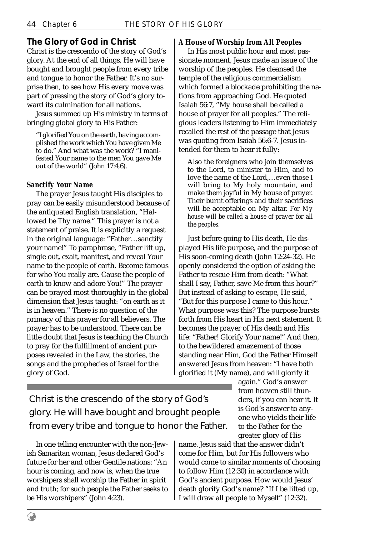# **The Glory of God in Christ**

Christ is the crescendo of the story of God's glory. At the end of all things, He will have bought and brought people from every tribe and tongue to honor the Father. It's no surprise then, to see how His every move was part of pressing the story of God's glory toward its culmination for all nations.

Jesus summed up His ministry in terms of bringing global glory to His Father:

"I glorified You on the earth, having accomplished the work which You have given Me to do." And what was the work? "I manifested Your name to the men You gave Me out of the world" (John 17:4,6).

#### *Sanctify Your Name*

The prayer Jesus taught His disciples to pray can be easily misunderstood because of the antiquated English translation, "Hallowed be Thy name." This prayer is not a statement of praise. It is explicitly a request in the original language: "Father…sanctify your name!" To paraphrase, "Father lift up, single out, exalt, manifest, and reveal Your name to the people of earth. Become famous for who You really are. Cause the people of earth to know and adore You!" The prayer can be prayed most thoroughly in the global dimension that Jesus taught: "on earth as it is in heaven." There is no question of the primacy of this prayer for all believers. The prayer has to be understood. There can be little doubt that Jesus is teaching the Church to pray for the fulfillment of ancient purposes revealed in the Law, the stories, the songs and the prophecies of Israel for the glory of God.

#### *A House of Worship from All Peoples*

In His most public hour and most passionate moment, Jesus made an issue of the worship of the peoples. He cleansed the temple of the religious commercialism which formed a blockade prohibiting the nations from approaching God. He quoted Isaiah 56:7, "My house shall be called a house of prayer for all peoples." The religious leaders listening to Him immediately recalled the rest of the passage that Jesus was quoting from Isaiah 56:6-7. Jesus intended for them to hear it fully:

Also the foreigners who join themselves to the Lord, to minister to Him, and to love the name of the Lord,…even those I will bring to My holy mountain, and make them joyful in My house of prayer. Their burnt offerings and their sacrifices will be acceptable on My altar. *For My house will be called a house of prayer for all the peoples.*

Just before going to His death, He displayed His life purpose, and the purpose of His soon-coming death (John 12:24-32). He openly considered the option of asking the Father to rescue Him from death: "What shall I say, Father, save Me from this hour?" But instead of asking to escape, He said, "But for this purpose I came to this hour." What purpose was this? The purpose bursts forth from His heart in His next statement. It becomes the prayer of His death and His life: "Father! Glorify Your name!" And then, to the bewildered amazement of those standing near Him, God the Father Himself answered Jesus from heaven: "I have both glorified it (My name), and will glorify it

again." God's answer from heaven still thunders, if you can hear it. It is God's answer to anyone who yields their life to the Father for the greater glory of His

Christ is the crescendo of the story of God's glory. He will have bought and brought people from every tribe and tongue to honor the Father.

In one telling encounter with the non-Jewish Samaritan woman, Jesus declared God's future for her and other Gentile nations: "An hour is coming, and now is, when the true worshipers shall worship the Father in spirit and truth; for such people the Father seeks to be His worshipers" (John 4:23).

name. Jesus said that the answer didn't come for Him, but for His followers who would come to similar moments of choosing to follow Him (12:30) in accordance with God's ancient purpose. How would Jesus' death glorify God's name? "If I be lifted up, I will draw all people to Myself" (12:32).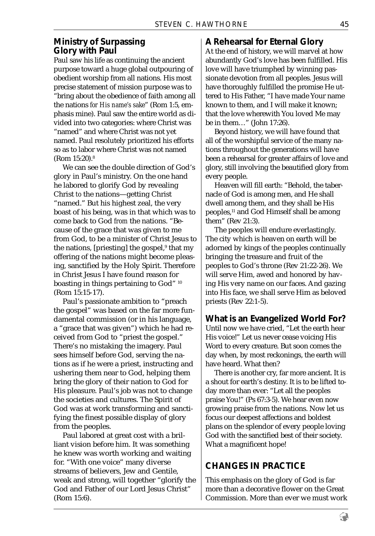# **Ministry of Surpassing Glory with Paul**

Paul saw his life as continuing the ancient purpose toward a huge global outpouring of obedient worship from all nations. His most precise statement of mission purpose was to "bring about the obedience of faith among all the nations *for His name's sake*" (Rom 1:5, emphasis mine). Paul saw the entire world as divided into two categories: where Christ was "named" and where Christ was not yet named. Paul resolutely prioritized his efforts so as to labor where Christ was not named (Rom 15:20).8

We can see the double direction of God's glory in Paul's ministry. On the one hand he labored to glorify God by revealing Christ *to* the nations—getting Christ "named." But his highest zeal, the very boast of his being, was in that which was to come back to God *from* the nations. "Because of the grace that was given to me from God, to be a minister of Christ Jesus to the nations, [priesting] the gospel, $9$  that my offering of the nations might become pleasing, sanctified by the Holy Spirit. Therefore in Christ Jesus I have found reason for boasting in things pertaining to God" 10 (Rom 15:15-17).

Paul's passionate ambition to "preach the gospel" was based on the far more fundamental commission (or in his language, a "grace that was given") which he had received from God to "priest the gospel." There's no mistaking the imagery. Paul sees himself before God, serving the nations as if he were a priest, instructing and ushering them near to God, helping them bring the glory of their nation to God for His pleasure. Paul's job was not to change the societies and cultures. The Spirit of God was at work transforming and sanctifying the finest possible display of glory from the peoples.

Paul labored at great cost with a brilliant vision before him. It was something he knew was worth working and waiting for. "With one voice" many diverse streams of believers, Jew and Gentile, weak and strong, will together "glorify the God and Father of our Lord Jesus Christ" (Rom 15:6).

### **A Rehearsal for Eternal Glory**

At the end of history, we will marvel at how abundantly God's love has been fulfilled. His love will have triumphed by winning passionate devotion from all peoples. Jesus will have thoroughly fulfilled the promise He uttered to His Father, "I have made Your name known to them, and I will make it known; that the love wherewith You loved Me may be in them…" (John 17:26).

Beyond history, we will have found that all of the worshipful service of the many nations throughout the generations will have been a rehearsal for greater affairs of love and glory, still involving the beautified glory from every people.

Heaven will fill earth: "Behold, the tabernacle of God is among men, and He shall dwell among them, and they shall be His peoples,<sup>11</sup> and God Himself shall be among them" (Rev 21:3).

The peoples will endure everlastingly. The city which is heaven on earth will be adorned by kings of the peoples continually bringing the treasure and fruit of the peoples to God's throne (Rev 21:22-26). We will serve Him, awed and honored by having His very name on our faces. And gazing into His face, we shall serve Him as beloved priests (Rev 22:1-5).

# **What is an Evangelized World For?**

Until now we have cried, "Let the earth hear His voice!" Let us never cease voicing His Word to every creature. But soon comes the day when, by most reckonings, the earth will have heard. What then?

There is another cry, far more ancient. It is a shout for earth's destiny. It is to be lifted today more than ever: "Let all the peoples praise You!" (Ps 67:3-5). We hear even now growing praise from the nations. Now let us focus our deepest affections and boldest plans on the splendor of every people loving God with the sanctified best of their society. What a magnificent hope!

# **CHANGES IN PRACTICE**

This emphasis on the glory of God is far more than a decorative flower on the Great Commission. More than ever we must work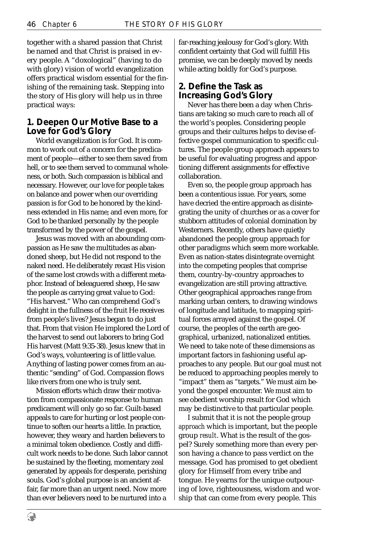together with a shared passion that Christ be named and that Christ is praised in every people. A "doxological" (having to do with glory) vision of world evangelization offers practical wisdom essential for the finishing of the remaining task. Stepping into the story of His glory will help us in three practical ways:

#### **1. Deepen Our Motive Base to a Love for God's Glory**

World evangelization is for God. It is common to work out of a concern for the predicament of people—either to see them saved from hell, or to see them served to communal wholeness, or both. Such compassion is biblical and necessary. However, our love for people takes on balance and power when our overriding passion is for God to be honored by the kindness extended in His name; and even more, for God to be thanked personally by the people transformed by the power of the gospel.

Jesus was moved with an abounding compassion as He saw the multitudes as abandoned sheep, but He did not respond to the naked need. He deliberately recast His vision of the same lost crowds with a different metaphor. Instead of beleaguered sheep, He saw the people as carrying great value to God: "His harvest." Who can comprehend God's delight in the fullness of the fruit He receives from people's lives? Jesus began to do just that. From that vision He implored the Lord of the harvest to send out laborers to bring God His harvest (Matt 9:35-38). Jesus knew that in God's ways, volunteering is of little value. Anything of lasting power comes from an authentic "sending" of God. Compassion flows like rivers from one who is truly sent.

Mission efforts which draw their motivation from compassionate response to human predicament will only go so far. Guilt-based appeals to care for hurting or lost people continue to soften our hearts a little. In practice, however, they weary and harden believers to a minimal token obedience. Costly and difficult work needs to be done. Such labor cannot be sustained by the fleeting, momentary zeal generated by appeals for desperate, perishing souls. God's global purpose is an ancient affair, far more than an urgent need. Now more than ever believers need to be nurtured into a

far-reaching jealousy for God's glory. With confident certainty that God will fulfill His promise, we can be deeply moved by needs while acting boldly for God's purpose.

#### **2. Define the Task as Increasing God's Glory**

Never has there been a day when Christians are taking so much care to reach all of the world's peoples. Considering people groups and their cultures helps to devise effective gospel communication to specific cultures. The people group approach appears to be useful for evaluating progress and apportioning different assignments for effective collaboration.

Even so, the people group approach has been a contentious issue. For years, some have decried the entire approach as disintegrating the unity of churches or as a cover for stubborn attitudes of colonial domination by Westerners. Recently, others have quietly abandoned the people group approach for other paradigms which seem more workable. Even as nation-states disintegrate overnight into the competing peoples that comprise them, country-by-country approaches to evangelization are still proving attractive. Other geographical approaches range from marking urban centers, to drawing windows of longitude and latitude, to mapping spiritual forces arrayed against the gospel. Of course, the peoples of the earth are geographical, urbanized, nationalized entities. We need to take note of these dimensions as important factors in fashioning useful approaches to any people. But our goal must not be reduced to approaching peoples merely to "impact" them as "targets." We must aim beyond the gospel encounter. We must aim to see obedient worship result for God which may be distinctive to that particular people.

I submit that it is not the people group *approach* which is important, but the people group *result*. What is the result of the gospel? Surely something more than every person having a chance to pass verdict on the message. God has promised to get obedient glory for Himself from every tribe and tongue. He yearns for the unique outpouring of love, righteousness, wisdom and worship that can come from every people. This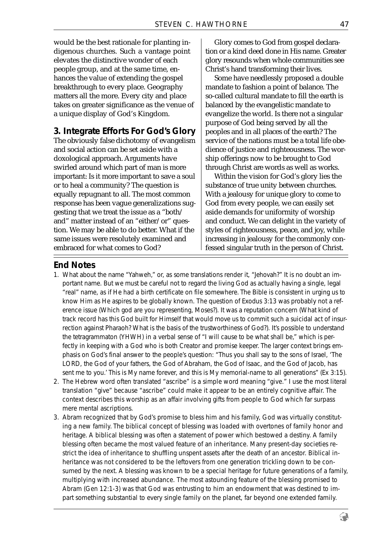would be the best rationale for planting indigenous churches. Such a vantage point elevates the distinctive wonder of each people group, and at the same time, enhances the value of extending the gospel breakthrough to every place. Geography matters all the more. Every city and place takes on greater significance as the venue of a unique display of God's Kingdom.

# **3. Integrate Efforts For God's Glory**

The obviously false dichotomy of evangelism and social action can be set aside with a doxological approach. Arguments have swirled around which part of man is more important: Is it more important to save a soul or to heal a community? The question is equally repugnant to all. The most common response has been vague generalizations suggesting that we treat the issue as a "both/ and" matter instead of an "either/or" question. We may be able to do better. What if the same issues were resolutely examined and embraced for what comes to God?

Glory comes to God from gospel declaration or a kind deed done in His name. Greater glory resounds when whole communities see Christ's hand transforming their lives.

Some have needlessly proposed a double mandate to fashion a point of balance. The so-called cultural mandate to fill the earth is balanced by the evangelistic mandate to evangelize the world. Is there not a singular purpose of God being served by all the peoples and in all places of the earth? The service of the nations must be a total life obedience of justice and righteousness. The worship offerings now to be brought to God through Christ are words as well as works.

Within the vision for God's glory lies the substance of true unity between churches. With a jealousy for unique glory to come to God from every people, we can easily set aside demands for uniformity of worship and conduct. We can delight in the variety of styles of righteousness, peace, and joy, while increasing in jealousy for the commonly confessed singular truth in the person of Christ.

### **End Notes**

- 1. What about the name "Yahweh," or, as some translations render it, "Jehovah?" It is no doubt an important name. But we must be careful not to regard the living God as actually having a single, legal "real" name, as if He had a birth certificate on file somewhere. The Bible is consistent in urging us to know Him as He aspires to be globally known. The question of Exodus 3:13 was probably not a reference issue (Which god are you representing, Moses?). It was a reputation concern (What kind of track record has this God built for Himself that would move us to commit such a suicidal act of insurrection against Pharaoh? What is the basis of the trustworthiness of God?). It's possible to understand the tetragrammaton (YHWH) in a verbal sense of "I will cause to be what shall be," which is perfectly in keeping with a God who is both Creator and promise keeper. The larger context brings emphasis on God's final answer to the people's question: "Thus you shall say to the sons of Israel, 'The LORD, the God of your fathers, the God of Abraham, the God of Isaac, and the God of Jacob, has sent me to you.' This is My name forever, and this is My memorial-name to all generations" (Ex 3:15).
- 2. The Hebrew word often translated "ascribe" is a simple word meaning "give." I use the most literal translation "give" because "ascribe" could make it appear to be an entirely cognitive affair. The context describes this worship as an affair involving gifts from people to God which far surpass mere mental ascriptions.
- 3. Abram recognized that by God's promise to bless him and his family, God was virtually constituting a new family. The biblical concept of blessing was loaded with overtones of family honor and heritage. A biblical blessing was often a statement of power which bestowed a destiny. A family blessing often became the most valued feature of an inheritance. Many present-day societies restrict the idea of inheritance to shuffling unspent assets after the death of an ancestor. Biblical inheritance was not considered to be the leftovers from one generation trickling down to be consumed by the next. A blessing was known to be a special heritage for future generations of a family, multiplying with increased abundance. The most astounding feature of the blessing promised to Abram (Gen 12:1-3) was that God was entrusting to him an endowment that was destined to impart something substantial to every single family on the planet, far beyond one extended family.